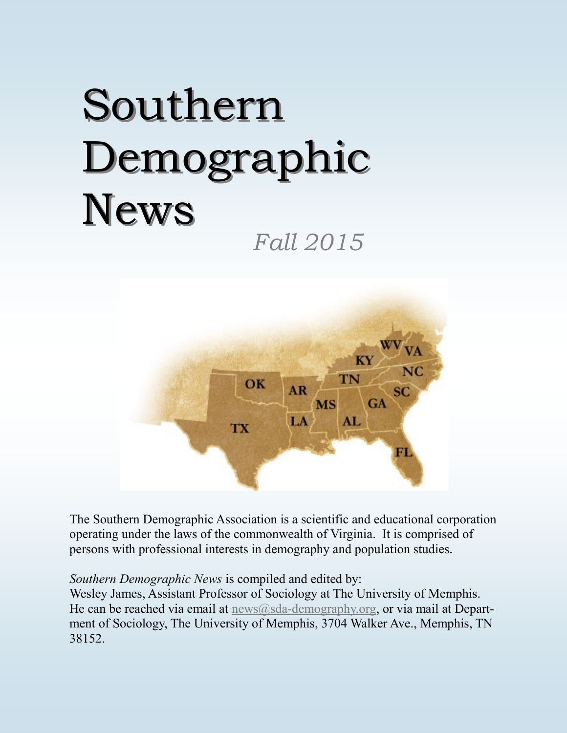# Southern Demographic News

*Fall 2015*



The Southern Demographic Association is a scientific and educational corporation operating under the laws of the commonwealth of Virginia. It is comprised of persons with professional interests in demography and population studies.

*Southern Demographic News* is compiled and edited by:

Wesley James, Assistant Professor of Sociology at The University of Memphis. He can be reached via email at  $news@sda$ -[demography.org,](mailto:news@sda-demography.org) or via mail at Department of Sociology, The University of Memphis, 3704 Walker Ave., Memphis, TN 38152.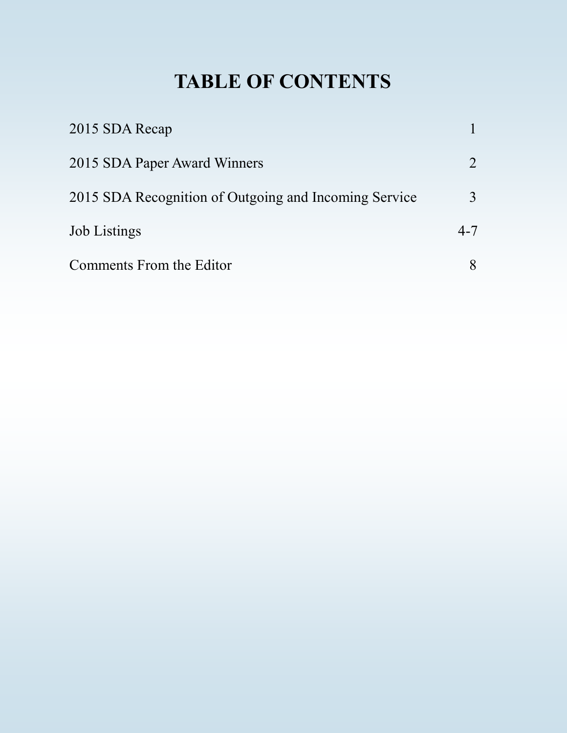# **TABLE OF CONTENTS**

| 2015 SDA Recap                                        |                |
|-------------------------------------------------------|----------------|
| 2015 SDA Paper Award Winners                          | $\overline{2}$ |
| 2015 SDA Recognition of Outgoing and Incoming Service | 3              |
| <b>Job</b> Listings                                   | $4 - 7$        |
| Comments From the Editor                              | 8              |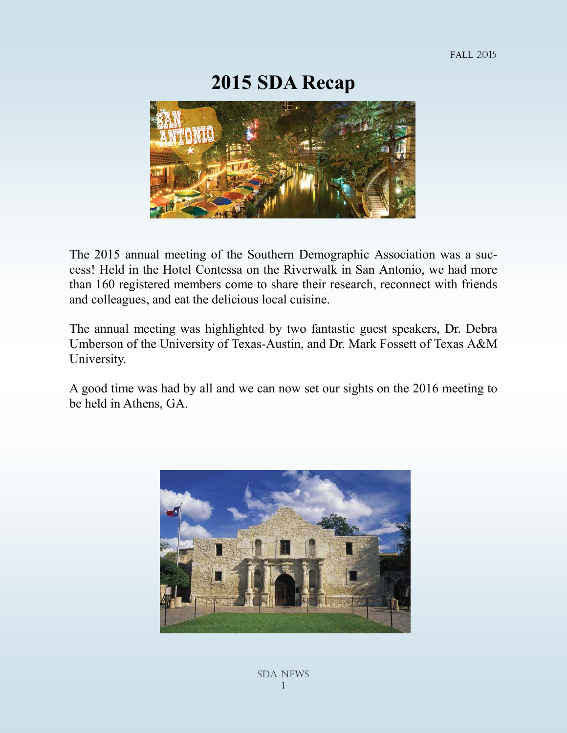#### **2015 SDA Recap**



The 2015 annual meeting of the Southern Demographic Association was a success! Held in the Hotel Contessa on the Riverwalk in San Antonio, we had more than 160 registered members come to share their research, reconnect with friends and colleagues, and eat the delicious local cuisine.

The annual meeting was highlighted by two fantastic guest speakers, Dr. Debra Umberson of the University of Texas-Austin, and Dr. Mark Fossett of Texas A&M University.

A good time was had by all and we can now set our sights on the 2016 meeting to be held in Athens, GA.

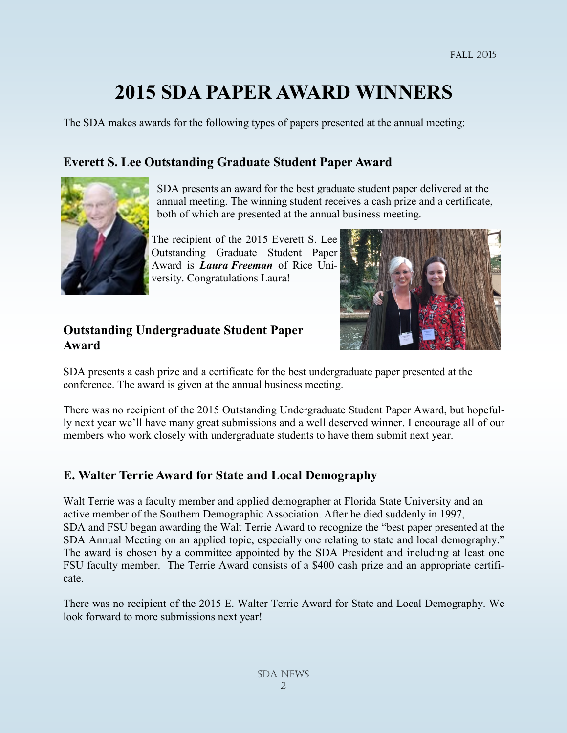# **2015 SDA PAPER AWARD WINNERS**

The SDA makes awards for the following types of papers presented at the annual meeting:

#### **Everett S. Lee Outstanding Graduate Student Paper Award**

![](_page_3_Picture_4.jpeg)

 SDA presents an award for the best graduate student paper delivered at the annual meeting. The winning student receives a cash prize and a certificate, both of which are presented at the annual business meeting.

The recipient of the 2015 Everett S. Lee Outstanding Graduate Student Paper Award is *Laura Freeman* of Rice University. Congratulations Laura!

#### **Outstanding Undergraduate Student Paper Award**

![](_page_3_Picture_8.jpeg)

SDA presents a cash prize and a certificate for the best undergraduate paper presented at the conference. The award is given at the annual business meeting.

There was no recipient of the 2015 Outstanding Undergraduate Student Paper Award, but hopefully next year we'll have many great submissions and a well deserved winner. I encourage all of our members who work closely with undergraduate students to have them submit next year.

#### **E. Walter Terrie Award for State and Local Demography**

Walt Terrie was a faculty member and applied demographer at Florida State University and an active member of the Southern Demographic Association. After he died suddenly in 1997, SDA and FSU began awarding the Walt Terrie Award to recognize the "best paper presented at the SDA Annual Meeting on an applied topic, especially one relating to state and local demography." The award is chosen by a committee appointed by the SDA President and including at least one FSU faculty member. The Terrie Award consists of a \$400 cash prize and an appropriate certificate.

There was no recipient of the 2015 E. Walter Terrie Award for State and Local Demography. We look forward to more submissions next year!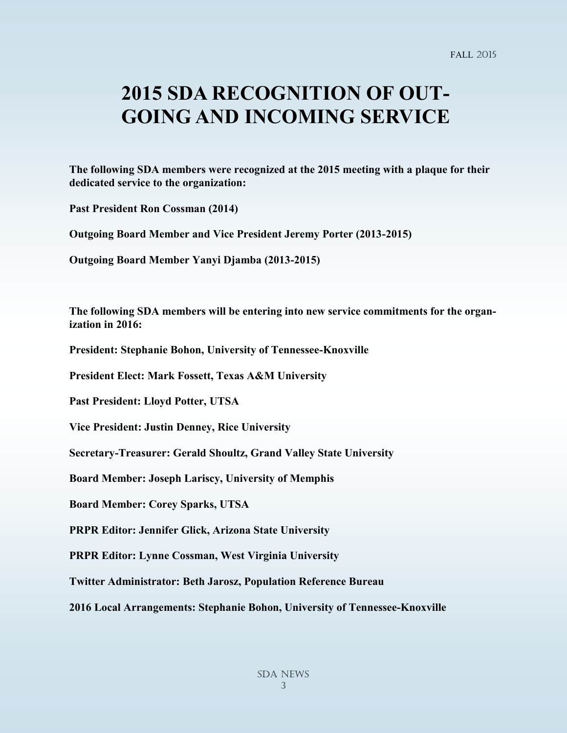## **2015 SDA RECOGNITION OF OUT-GOING AND INCOMING SERVICE**

**The following SDA members were recognized at the 2015 meeting with a plaque for their dedicated service to the organization:**

**Past President Ron Cossman (2014)**

**Outgoing Board Member and Vice President Jeremy Porter (2013-2015)**

**Outgoing Board Member Yanyi Djamba (2013-2015)**

**The following SDA members will be entering into new service commitments for the organization in 2016:**

**President: Stephanie Bohon, University of Tennessee-Knoxville**

**President Elect: Mark Fossett, Texas A&M University**

**Past President: Lloyd Potter, UTSA**

**Vice President: Justin Denney, Rice University**

**Secretary-Treasurer: Gerald Shoultz, Grand Valley State University**

**Board Member: Joseph Lariscy, University of Memphis**

**Board Member: Corey Sparks, UTSA**

**PRPR Editor: Jennifer Glick, Arizona State University**

**PRPR Editor: Lynne Cossman, West Virginia University**

**Twitter Administrator: Beth Jarosz, Population Reference Bureau**

**2016 Local Arrangements: Stephanie Bohon, University of Tennessee-Knoxville**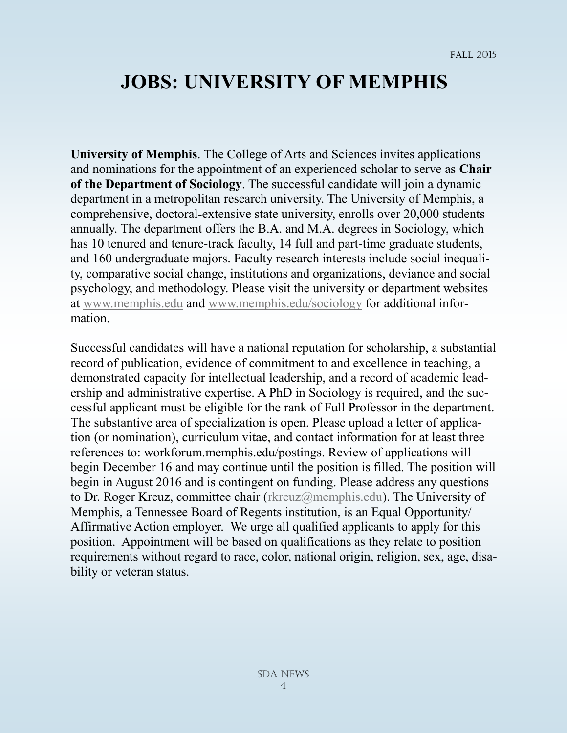### **JOBS: UNIVERSITY OF MEMPHIS**

**University of Memphis**. The College of Arts and Sciences invites applications and nominations for the appointment of an experienced scholar to serve as **Chair of the Department of Sociology**. The successful candidate will join a dynamic department in a metropolitan research university. The University of Memphis, a comprehensive, doctoral-extensive state university, enrolls over 20,000 students annually. The department offers the B.A. and M.A. degrees in Sociology, which has 10 tenured and tenure-track faculty, 14 full and part-time graduate students, and 160 undergraduate majors. Faculty research interests include social inequality, comparative social change, institutions and organizations, deviance and social psychology, and methodology. Please visit the university or department websites at [www.memphis.edu](mailto:www.memphis.edu) and [www.memphis.edu/sociology](mailto:www.memphis.edu/sociology) for additional information.

Successful candidates will have a national reputation for scholarship, a substantial record of publication, evidence of commitment to and excellence in teaching, a demonstrated capacity for intellectual leadership, and a record of academic leadership and administrative expertise. A PhD in Sociology is required, and the successful applicant must be eligible for the rank of Full Professor in the department. The substantive area of specialization is open. Please upload a letter of application (or nomination), curriculum vitae, and contact information for at least three references to: workforum.memphis.edu/postings. Review of applications will begin December 16 and may continue until the position is filled. The position will begin in August 2016 and is contingent on funding. Please address any questions to Dr. Roger Kreuz, committee chair [\(rkreuz@memphis.edu\).](mailto:The%20University%20of%20Houston.%20%20The%20Department%20of%20Sociology%20at%20the%20University%20of%20Houston%20invites%20applications%20for%20an%20Assistant%20Professor%20to%20begin%20Fall%20semester%202016.%20%20Areas%20of%20interest%20are%20open%20) The University of Memphis, a Tennessee Board of Regents institution, is an Equal Opportunity/ Affirmative Action employer. We urge all qualified applicants to apply for this position. Appointment will be based on qualifications as they relate to position requirements without regard to race, color, national origin, religion, sex, age, disability or veteran status.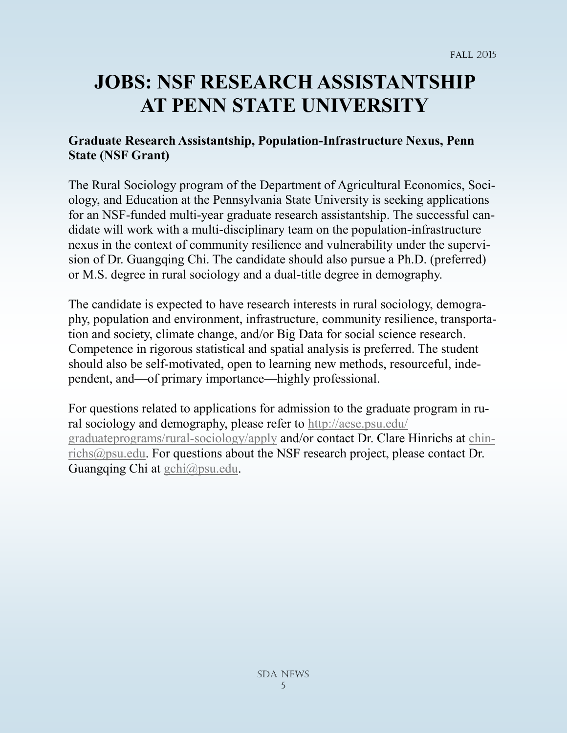# **JOBS: NSF RESEARCH ASSISTANTSHIP AT PENN STATE UNIVERSITY**

#### **Graduate Research Assistantship, Population-Infrastructure Nexus, Penn State (NSF Grant)**

The Rural Sociology program of the Department of Agricultural Economics, Sociology, and Education at the Pennsylvania State University is seeking applications for an NSF-funded multi-year graduate research assistantship. The successful candidate will work with a multi-disciplinary team on the population-infrastructure nexus in the context of community resilience and vulnerability under the supervision of Dr. Guangqing Chi. The candidate should also pursue a Ph.D. (preferred) or M.S. degree in rural sociology and a dual-title degree in demography.

The candidate is expected to have research interests in rural sociology, demography, population and environment, infrastructure, community resilience, transportation and society, climate change, and/or Big Data for social science research. Competence in rigorous statistical and spatial analysis is preferred. The student should also be self-motivated, open to learning new methods, resourceful, independent, and—of primary importance—highly professional.

For questions related to applications for admission to the graduate program in rural sociology and demography, please refer to [http://aese.psu.edu/](http://aese.psu.edu/graduateprograms/rural-sociology/apply) [graduateprograms/rural](http://aese.psu.edu/graduateprograms/rural-sociology/apply)-sociology/apply and/or contact Dr. Clare Hinrichs at [chin](mailto:chinrichs@psu.edu)[richs@psu.edu.](mailto:chinrichs@psu.edu) For questions about the NSF research project, please contact Dr. Guangqing Chi at [gchi@psu.edu.](mailto:gchi@psu.edu)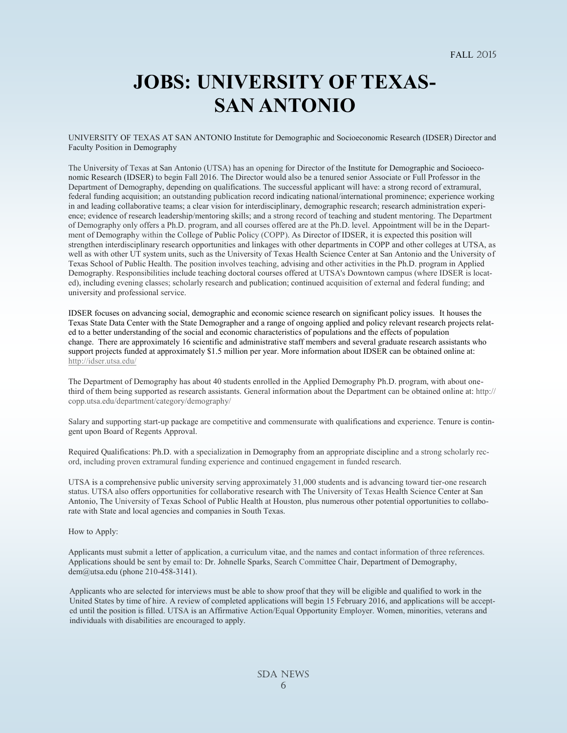# **JOBS: UNIVERSITY OF TEXAS-SAN ANTONIO**

UNIVERSITY OF TEXAS AT SAN ANTONIO Institute for Demographic and Socioeconomic Research (IDSER) Director and Faculty Position in Demography

The University of Texas at San Antonio (UTSA) has an opening for Director of the Institute for Demographic and Socioeconomic Research (IDSER) to begin Fall 2016. The Director would also be a tenured senior Associate or Full Professor in the Department of Demography, depending on qualifications. The successful applicant will have: a strong record of extramural, federal funding acquisition; an outstanding publication record indicating national/international prominence; experience working in and leading collaborative teams; a clear vision for interdisciplinary, demographic research; research administration experience; evidence of research leadership/mentoring skills; and a strong record of teaching and student mentoring. The Department of Demography only offers a Ph.D. program, and all courses offered are at the Ph.D. level. Appointment will be in the Department of Demography within the College of Public Policy (COPP). As Director of IDSER, it is expected this position will strengthen interdisciplinary research opportunities and linkages with other departments in COPP and other colleges at UTSA, as well as with other UT system units, such as the University of Texas Health Science Center at San Antonio and the University of Texas School of Public Health. The position involves teaching, advising and other activities in the Ph.D. program in Applied Demography. Responsibilities include teaching doctoral courses offered at UTSA's Downtown campus (where IDSER is located), including evening classes; scholarly research and publication; continued acquisition of external and federal funding; and university and professional service.

IDSER focuses on advancing social, demographic and economic science research on significant policy issues. It houses the Texas State Data Center with the State Demographer and a range of ongoing applied and policy relevant research projects related to a better understanding of the social and economic characteristics of populations and the effects of population change. There are approximately 16 scientific and administrative staff members and several graduate research assistants who support projects funded at approximately \$1.5 million per year. More information about IDSER can be obtained online at: <http://idser.utsa.edu/>

The Department of Demography has about 40 students enrolled in the Applied Demography Ph.D. program, with about onethird of them being supported as research assistants. General information about the Department can be obtained online at: http:// copp.utsa.edu/department/category/demography/

Salary and supporting start-up package are competitive and commensurate with qualifications and experience. Tenure is contingent upon Board of Regents Approval.

Required Qualifications: Ph.D. with a specialization in Demography from an appropriate discipline and a strong scholarly record, including proven extramural funding experience and continued engagement in funded research.

UTSA is a comprehensive public university serving approximately 31,000 students and is advancing toward tier-one research status. UTSA also offers opportunities for collaborative research with The University of Texas Health Science Center at San Antonio, The University of Texas School of Public Health at Houston, plus numerous other potential opportunities to collaborate with State and local agencies and companies in South Texas.

How to Apply:

Applicants must submit a letter of application, a curriculum vitae, and the names and contact information of three references. Applications should be sent by email to: Dr. Johnelle Sparks, Search Committee Chair, Department of Demography, dem@utsa.edu (phone 210-458-3141).

Applicants who are selected for interviews must be able to show proof that they will be eligible and qualified to work in the United States by time of hire. A review of completed applications will begin 15 February 2016, and applications will be accepted until the position is filled. UTSA is an Affirmative Action/Equal Opportunity Employer. Women, minorities, veterans and individuals with disabilities are encouraged to apply.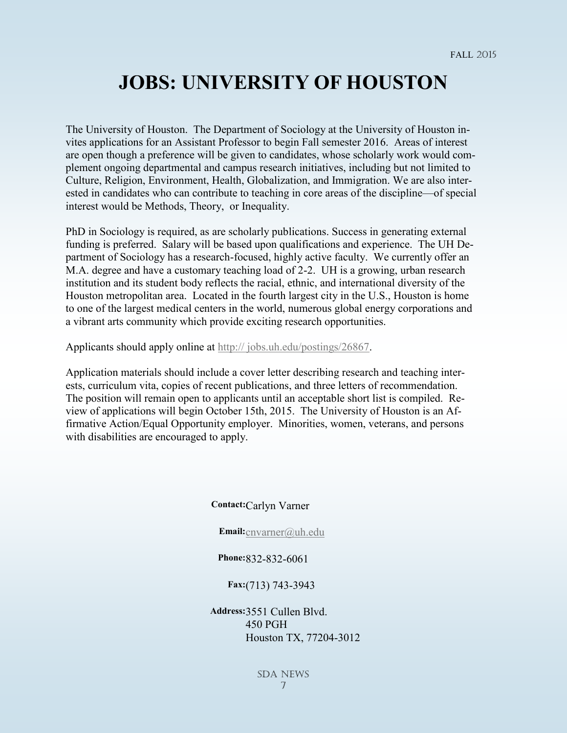### **JOBS: UNIVERSITY OF HOUSTON**

The University of Houston. The Department of Sociology at the University of Houston invites applications for an Assistant Professor to begin Fall semester 2016. Areas of interest are open though a preference will be given to candidates, whose scholarly work would complement ongoing departmental and campus research initiatives, including but not limited to Culture, Religion, Environment, Health, Globalization, and Immigration. We are also interested in candidates who can contribute to teaching in core areas of the discipline—of special interest would be Methods, Theory, or Inequality.

PhD in Sociology is required, as are scholarly publications. Success in generating external funding is preferred. Salary will be based upon qualifications and experience. The UH Department of Sociology has a research-focused, highly active faculty. We currently offer an M.A. degree and have a customary teaching load of 2-2. UH is a growing, urban research institution and its student body reflects the racial, ethnic, and international diversity of the Houston metropolitan area. Located in the fourth largest city in the U.S., Houston is home to one of the largest medical centers in the world, numerous global energy corporations and a vibrant arts community which provide exciting research opportunities.

Applicants should apply online at [http:// jobs.uh.edu/postings/26867.](mailto:http://%20jobs.uh.edu/postings/26867) 

Application materials should include a cover letter describing research and teaching interests, curriculum vita, copies of recent publications, and three letters of recommendation. The position will remain open to applicants until an acceptable short list is compiled. Review of applications will begin October 15th, 2015. The University of Houston is an Affirmative Action/Equal Opportunity employer. Minorities, women, veterans, and persons with disabilities are encouraged to apply.

#### **Contact:**Carlyn Varner

**Email:**[cnvarner@uh.edu](mailto:cnvarner@uh.edu)

#### **Phone:**832-832-6061

#### **Fax:**(713) 743-3943

**Address:**3551 Cullen Blvd. 450 PGH Houston TX, 77204-3012